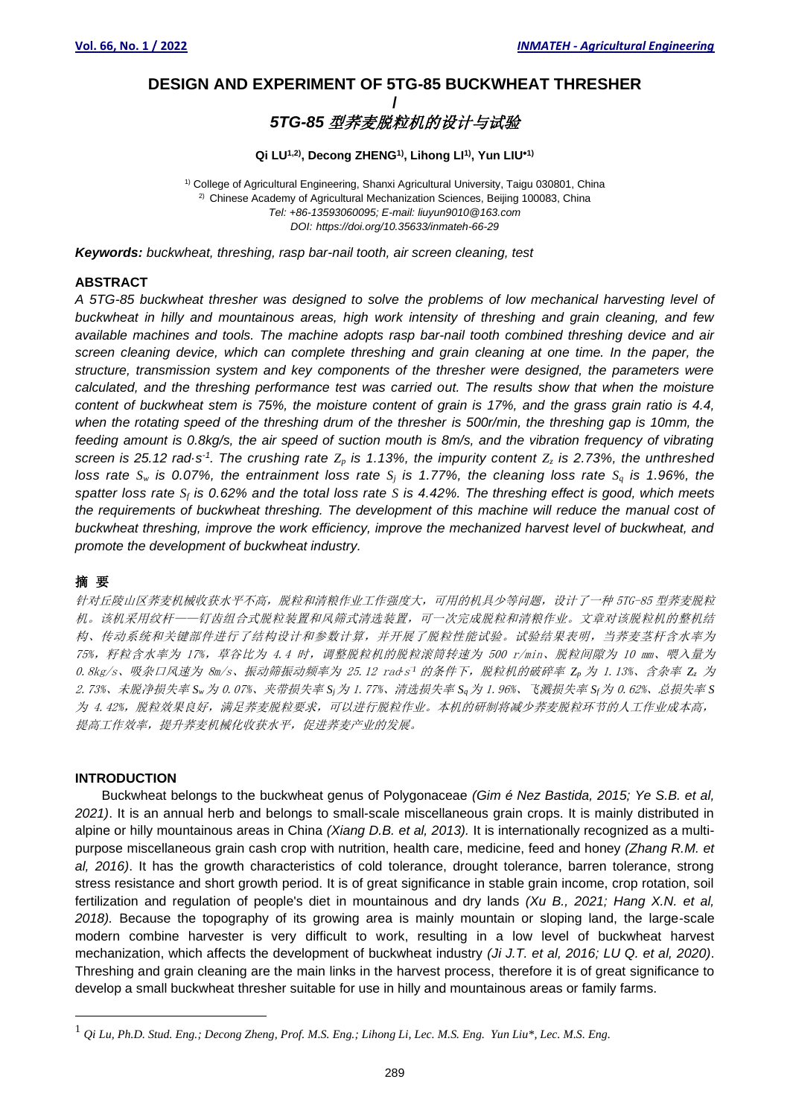# **DESIGN AND EXPERIMENT OF 5TG-85 BUCKWHEAT THRESHER /** *5TG-85* 型荞麦脱粒机的设计与试验

# **Qi LU1,2) , Decong ZHENG1) , Lihong LI 1) , Yun LIU1)**

<sup>1)</sup> College of Agricultural Engineering, Shanxi Agricultural University, Taigu 030801, China <sup>2)</sup> Chinese Academy of Agricultural Mechanization Sciences, Beijing 100083, China *Tel: +86-13593060095; E-mail: liuyun9010@163.com DOI: https://doi.org/10.35633/inmateh-66-29*

*Keywords: buckwheat, threshing, rasp bar-nail tooth, air screen cleaning, test*

# **ABSTRACT**

*A 5TG-85 buckwheat thresher was designed to solve the problems of low mechanical harvesting level of buckwheat in hilly and mountainous areas, high work intensity of threshing and grain cleaning, and few available machines and tools. The machine adopts rasp bar-nail tooth combined threshing device and air screen cleaning device, which can complete threshing and grain cleaning at one time. In the paper, the structure, transmission system and key components of the thresher were designed, the parameters were calculated, and the threshing performance test was carried out. The results show that when the moisture content of buckwheat stem is 75%, the moisture content of grain is 17%, and the grass grain ratio is 4.4, when the rotating speed of the threshing drum of the thresher is 500r/min, the threshing gap is 10mm, the feeding amount is 0.8kg/s, the air speed of suction mouth is 8m/s, and the vibration frequency of vibrating screen is 25.12 rad·s<sup>-1</sup>. The crushing rate*  $Z_p$  *<i>is 1.13%, the impurity content*  $Z_z$  *is 2.73%, the unthreshed loss rate*  $S_w$  *is 0.07%, the entrainment loss rate*  $S_i$  *is 1.77%, the cleaning loss rate*  $S_q$  *is 1.96%, the spatter loss rate S<sup>f</sup> is 0.62% and the total loss rate S is 4.42%. The threshing effect is good, which meets the requirements of buckwheat threshing. The development of this machine will reduce the manual cost of buckwheat threshing, improve the work efficiency, improve the mechanized harvest level of buckwheat, and promote the development of buckwheat industry.*

# 摘要

针对丘陵山区荞麦机械收获水平不高,脱粒和清粮作业工作强度大,可用的机具少等问题,设计了一种 5TG-85 型荞麦脱粒 机。该机采用纹杆——钉齿组合式脱粒装置和风筛式清选装置,可一次完成脱粒和清粮作业。文章对该脱粒机的整机结 构、传动系统和关键部件进行了结构设计和参数计算,并开展了脱粒性能试验。试验结果表明,当荞麦茎杆含水率为 75%, 籽粒含水率为 17%, 草谷比为 4.4 时, 调整脱粒机的脱粒滚筒转速为 500 r/min、脱粒间隙为 10 mm、喂入量为 0.8kg/s、吸杂口风速为 8m/s、振动筛振动频率为 25.12 rad*·*<sup>s</sup> -*<sup>1</sup>* 的条件下,脱粒机的破碎率 *Z<sup>p</sup>* 为 1.13%、含杂率 *Z<sup>z</sup>* 为 2.73%、未脱净损失率 *Sw*为 0.07%、夹带损失率 *Sj*为 1.77%、清选损失率 *Sq*为 1.96%、飞溅损失率 *Sf*为 0.62%、总损失率 *S* 为 4.42%,脱粒效果良好,满足荞麦脱粒要求,可以进行脱粒作业。本机的研制将减少荞麦脱粒环节的人工作业成本高, 提高工作效率,提升荞麦机械化收获水平,促进荞麦产业的发展。

### **INTRODUCTION**

Buckwheat belongs to the buckwheat genus of Polygonaceae *(Gim é Nez Bastida, 2015; Ye S.B. et al, 2021)*. It is an annual herb and belongs to small-scale miscellaneous grain crops. It is mainly distributed in alpine or hilly mountainous areas in China *(Xiang D.B. et al, 2013).* It is internationally recognized as a multipurpose miscellaneous grain cash crop with nutrition, health care, medicine, feed and honey *(Zhang R.M. et al, 2016)*. It has the growth characteristics of cold tolerance, drought tolerance, barren tolerance, strong stress resistance and short growth period. It is of great significance in stable grain income, crop rotation, soil fertilization and regulation of people's diet in mountainous and dry lands *(Xu B., 2021; Hang X.N. et al, 2018).* Because the topography of its growing area is mainly mountain or sloping land, the large-scale modern combine harvester is very difficult to work, resulting in a low level of buckwheat harvest mechanization, which affects the development of buckwheat industry *(Ji J.T. et al, 2016; LU Q. et al, 2020)*. Threshing and grain cleaning are the main links in the harvest process, therefore it is of great significance to develop a small buckwheat thresher suitable for use in hilly and mountainous areas or family farms.

<sup>1</sup> *Qi Lu, Ph.D. Stud. Eng.; Decong Zheng, Prof. M.S. Eng.; Lihong Li, Lec. M.S. Eng. Yun Liu\*, Lec. M.S. Eng.*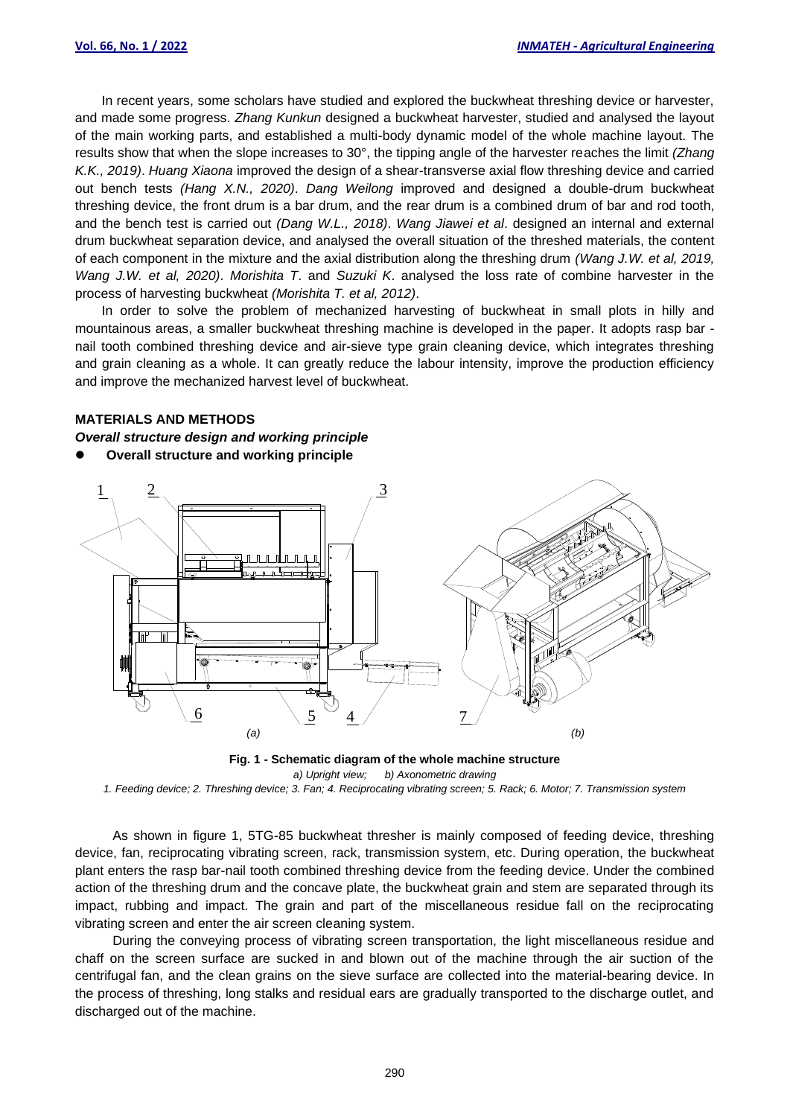In recent years, some scholars have studied and explored the buckwheat threshing device or harvester, and made some progress. *Zhang Kunkun* designed a buckwheat harvester, studied and analysed the layout of the main working parts, and established a multi-body dynamic model of the whole machine layout. The results show that when the slope increases to 30°, the tipping angle of the harvester reaches the limit *(Zhang K.K., 2019)*. *Huang Xiaona* improved the design of a shear-transverse axial flow threshing device and carried out bench tests *(Hang X.N., 2020)*. *Dang Weilong* improved and designed a double-drum buckwheat threshing device, the front drum is a bar drum, and the rear drum is a combined drum of bar and rod tooth, and the bench test is carried out *(Dang W.L., 2018)*. *Wang Jiawei et al*. designed an internal and external drum buckwheat separation device, and analysed the overall situation of the threshed materials, the content of each component in the mixture and the axial distribution along the threshing drum *(Wang J.W. et al, 2019, Wang J.W. et al, 2020)*. *Morishita T*. and *Suzuki K*. analysed the loss rate of combine harvester in the process of harvesting buckwheat *(Morishita T. et al, 2012)*.

In order to solve the problem of mechanized harvesting of buckwheat in small plots in hilly and mountainous areas, a smaller buckwheat threshing machine is developed in the paper. It adopts rasp bar nail tooth combined threshing device and air-sieve type grain cleaning device, which integrates threshing and grain cleaning as a whole. It can greatly reduce the labour intensity, improve the production efficiency and improve the mechanized harvest level of buckwheat.

## **MATERIALS AND METHODS**

*Overall structure design and working principle*

⚫ **Overall structure and working principle**



**Fig. 1 - Schematic diagram of the whole machine structure**

*a) Upright view; b) Axonometric drawing 1. Feeding device; 2. Threshing device; 3. Fan; 4. Reciprocating vibrating screen; 5. Rack; 6. Motor; 7. Transmission system*

As shown in figure 1, 5TG-85 buckwheat thresher is mainly composed of feeding device, threshing device, fan, reciprocating vibrating screen, rack, transmission system, etc. During operation, the buckwheat plant enters the rasp bar-nail tooth combined threshing device from the feeding device. Under the combined action of the threshing drum and the concave plate, the buckwheat grain and stem are separated through its impact, rubbing and impact. The grain and part of the miscellaneous residue fall on the reciprocating vibrating screen and enter the air screen cleaning system.

During the conveying process of vibrating screen transportation, the light miscellaneous residue and chaff on the screen surface are sucked in and blown out of the machine through the air suction of the centrifugal fan, and the clean grains on the sieve surface are collected into the material-bearing device. In the process of threshing, long stalks and residual ears are gradually transported to the discharge outlet, and discharged out of the machine.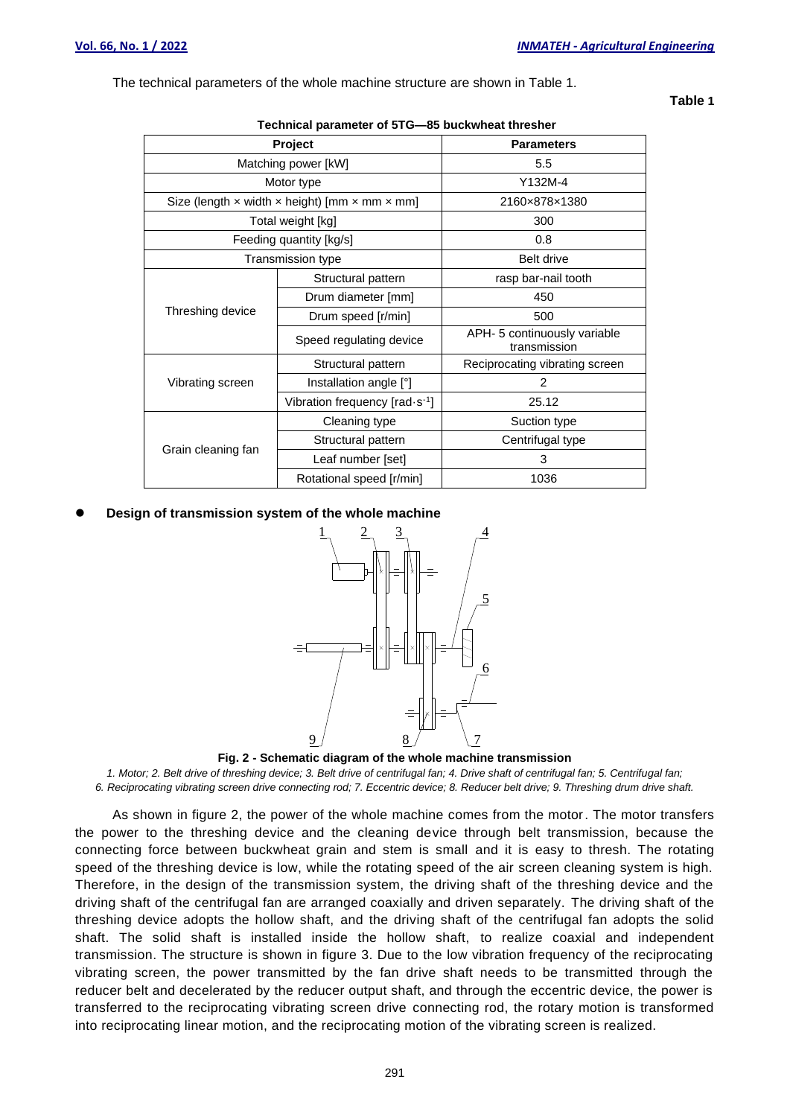**Table 1**

The technical parameters of the whole machine structure are shown in Table 1.

| Technical parameter of 310—63 buckwileat thresher                         |                                          |                                              |  |  |
|---------------------------------------------------------------------------|------------------------------------------|----------------------------------------------|--|--|
| Project                                                                   |                                          | <b>Parameters</b>                            |  |  |
| Matching power [kW]                                                       |                                          | 5.5                                          |  |  |
| Motor type                                                                |                                          | Y132M-4                                      |  |  |
| Size (length $\times$ width $\times$ height) [mm $\times$ mm $\times$ mm] |                                          | 2160×878×1380                                |  |  |
| Total weight [kg]                                                         |                                          | 300                                          |  |  |
| Feeding quantity [kg/s]                                                   |                                          | 0.8                                          |  |  |
| Transmission type                                                         |                                          | <b>Belt drive</b>                            |  |  |
| Threshing device                                                          | Structural pattern                       | rasp bar-nail tooth                          |  |  |
|                                                                           | Drum diameter [mm]                       | 450                                          |  |  |
|                                                                           | Drum speed [r/min]                       | 500                                          |  |  |
|                                                                           | Speed regulating device                  | APH- 5 continuously variable<br>transmission |  |  |
| Vibrating screen                                                          | Structural pattern                       | Reciprocating vibrating screen               |  |  |
|                                                                           | Installation angle [°]                   | 2                                            |  |  |
|                                                                           | Vibration frequency $[rad \cdot s^{-1}]$ | 25.12                                        |  |  |
| Grain cleaning fan                                                        | Cleaning type                            | Suction type                                 |  |  |
|                                                                           | Structural pattern                       | Centrifugal type                             |  |  |
|                                                                           | Leaf number [set]                        | 3                                            |  |  |
|                                                                           | Rotational speed [r/min]                 | 1036                                         |  |  |

## **Technical parameter of 5TG—85 buckwheat thresher**

⚫ **Design of transmission system of the whole machine**



**Fig. 2 - Schematic diagram of the whole machine transmission**

*1. Motor; 2. Belt drive of threshing device; 3. Belt drive of centrifugal fan; 4. Drive shaft of centrifugal fan; 5. Centrifugal fan; 6. Reciprocating vibrating screen drive connecting rod; 7. Eccentric device; 8. Reducer belt drive; 9. Threshing drum drive shaft.*

As shown in figure 2, the power of the whole machine comes from the motor. The motor transfers the power to the threshing device and the cleaning device through belt transmission, because the connecting force between buckwheat grain and stem is small and it is easy to thresh. The rotating speed of the threshing device is low, while the rotating speed of the air screen cleaning system is high. Therefore, in the design of the transmission system, the driving shaft of the threshing device and the driving shaft of the centrifugal fan are arranged coaxially and driven separately. The driving shaft of the threshing device adopts the hollow shaft, and the driving shaft of the centrifugal fan adopts the solid shaft. The solid shaft is installed inside the hollow shaft, to realize coaxial and independent transmission. The structure is shown in figure 3. Due to the low vibration frequency of the reciprocating vibrating screen, the power transmitted by the fan drive shaft needs to be transmitted through the reducer belt and decelerated by the reducer output shaft, and through the eccentric device, the power is transferred to the reciprocating vibrating screen drive connecting rod, the rotary motion is transformed into reciprocating linear motion, and the reciprocating motion of the vibrating screen is realized.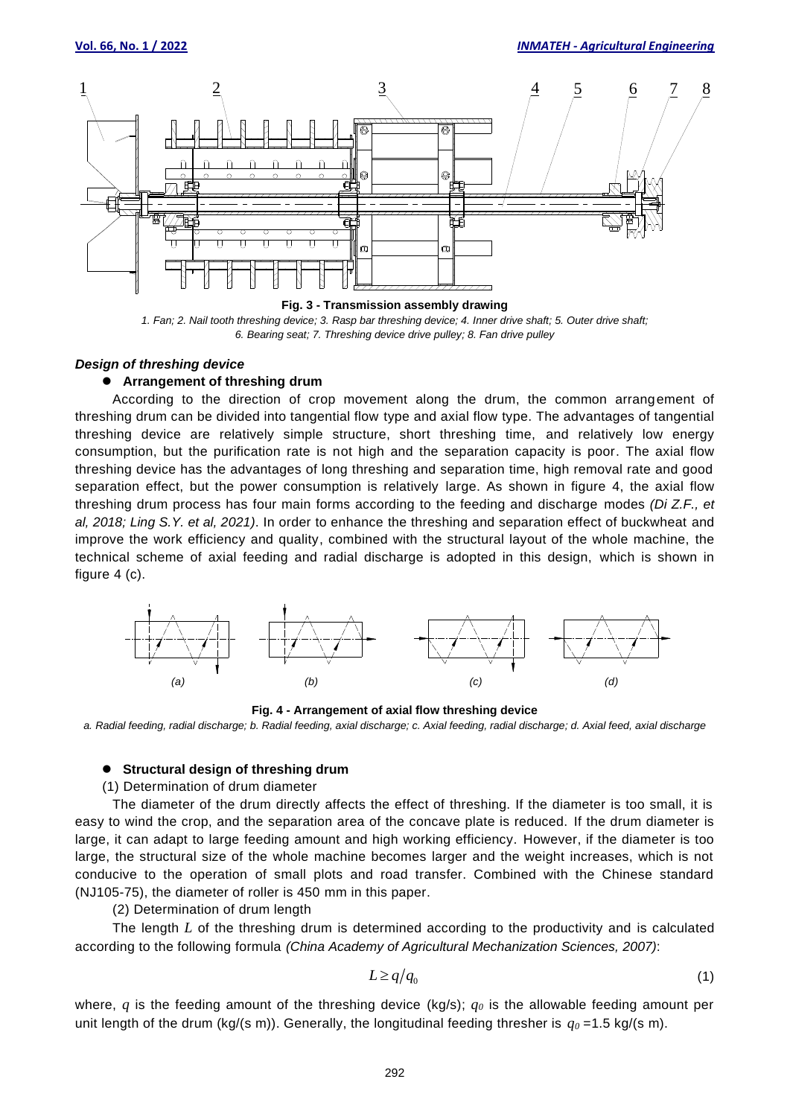

*1. Fan; 2. Nail tooth threshing device; 3. Rasp bar threshing device; 4. Inner drive shaft; 5. Outer drive shaft; 6. Bearing seat; 7. Threshing device drive pulley; 8. Fan drive pulley*

#### *Design of threshing device*

### ⚫ **Arrangement of threshing drum**

According to the direction of crop movement along the drum, the common arrangement of threshing drum can be divided into tangential flow type and axial flow type. The advantages of tangential threshing device are relatively simple structure, short threshing time, and relatively low energy consumption, but the purification rate is not high and the separation capacity is poor. The axial flow threshing device has the advantages of long threshing and separation time, high removal rate and good separation effect, but the power consumption is relatively large. As shown in figure 4, the axial flow threshing drum process has four main forms according to the feeding and discharge modes *(Di Z.F., et al, 2018; Ling S.Y. et al, 2021)*. In order to enhance the threshing and separation effect of buckwheat and improve the work efficiency and quality, combined with the structural layout of the whole machine, the technical scheme of axial feeding and radial discharge is adopted in this design, which is shown in figure 4 (c).



**Fig. 4 - Arrangement of axial flow threshing device**

*a. Radial feeding, radial discharge; b. Radial feeding, axial discharge; c. Axial feeding, radial discharge; d. Axial feed, axial discharge*

#### ⚫ **Structural design of threshing drum**

(1) Determination of drum diameter

The diameter of the drum directly affects the effect of threshing. If the diameter is too small, it is easy to wind the crop, and the separation area of the concave plate is reduced. If the drum diameter is large, it can adapt to large feeding amount and high working efficiency. However, if the diameter is too large, the structural size of the whole machine becomes larger and the weight increases, which is not conducive to the operation of small plots and road transfer. Combined with the Chinese standard (NJ105-75), the diameter of roller is 450 mm in this paper.

(2) Determination of drum length

The length *L* of the threshing drum is determined according to the productivity and is calculated according to the following formula *(China Academy of Agricultural Mechanization Sciences, 2007)*:

$$
L \ge q/q_0 \tag{1}
$$

where, *q* is the feeding amount of the threshing device (kg/s); *q<sup>0</sup>* is the allowable feeding amount per unit length of the drum (kg/(s m)). Generally, the longitudinal feeding thresher is  $q_0 = 1.5$  kg/(s m).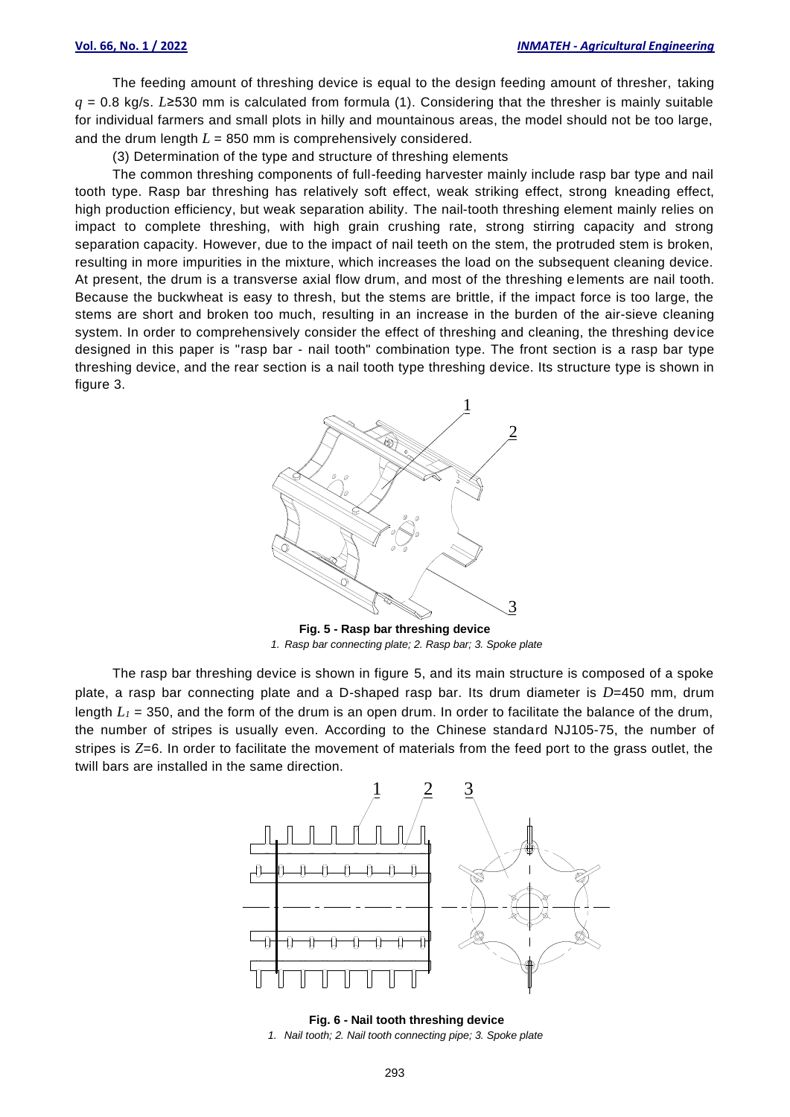The feeding amount of threshing device is equal to the design feeding amount of thresher, taking *q* = 0.8 kg/s. *L*≥530 mm is calculated from formula (1). Considering that the thresher is mainly suitable for individual farmers and small plots in hilly and mountainous areas, the model should not be too large, and the drum length *L* = 850 mm is comprehensively considered.

(3) Determination of the type and structure of threshing elements

The common threshing components of full-feeding harvester mainly include rasp bar type and nail tooth type. Rasp bar threshing has relatively soft effect, weak striking effect, strong kneading effect, high production efficiency, but weak separation ability. The nail-tooth threshing element mainly relies on impact to complete threshing, with high grain crushing rate, strong stirring capacity and strong separation capacity. However, due to the impact of nail teeth on the stem, the protruded stem is broken, resulting in more impurities in the mixture, which increases the load on the subsequent cleaning device. At present, the drum is a transverse axial flow drum, and most of the threshing elements are nail tooth. Because the buckwheat is easy to thresh, but the stems are brittle, if the impact force is too large, the stems are short and broken too much, resulting in an increase in the burden of the air-sieve cleaning system. In order to comprehensively consider the effect of threshing and cleaning, the threshing device designed in this paper is "rasp bar - nail tooth" combination type. The front section is a rasp bar type threshing device, and the rear section is a nail tooth type threshing device. Its structure type is shown in figure 3.



**Fig. 5 - Rasp bar threshing device** *1. Rasp bar connecting plate; 2. Rasp bar; 3. Spoke plate*

The rasp bar threshing device is shown in figure 5, and its main structure is composed of a spoke plate, a rasp bar connecting plate and a D-shaped rasp bar. Its drum diameter is *D*=450 mm, drum length  $L_1$  = 350, and the form of the drum is an open drum. In order to facilitate the balance of the drum, the number of stripes is usually even. According to the Chinese standard NJ105-75, the number of stripes is *Z*=6. In order to facilitate the movement of materials from the feed port to the grass outlet, the twill bars are installed in the same direction.



**Fig. 6 - Nail tooth threshing device** *1. Nail tooth; 2. Nail tooth connecting pipe; 3. Spoke plate*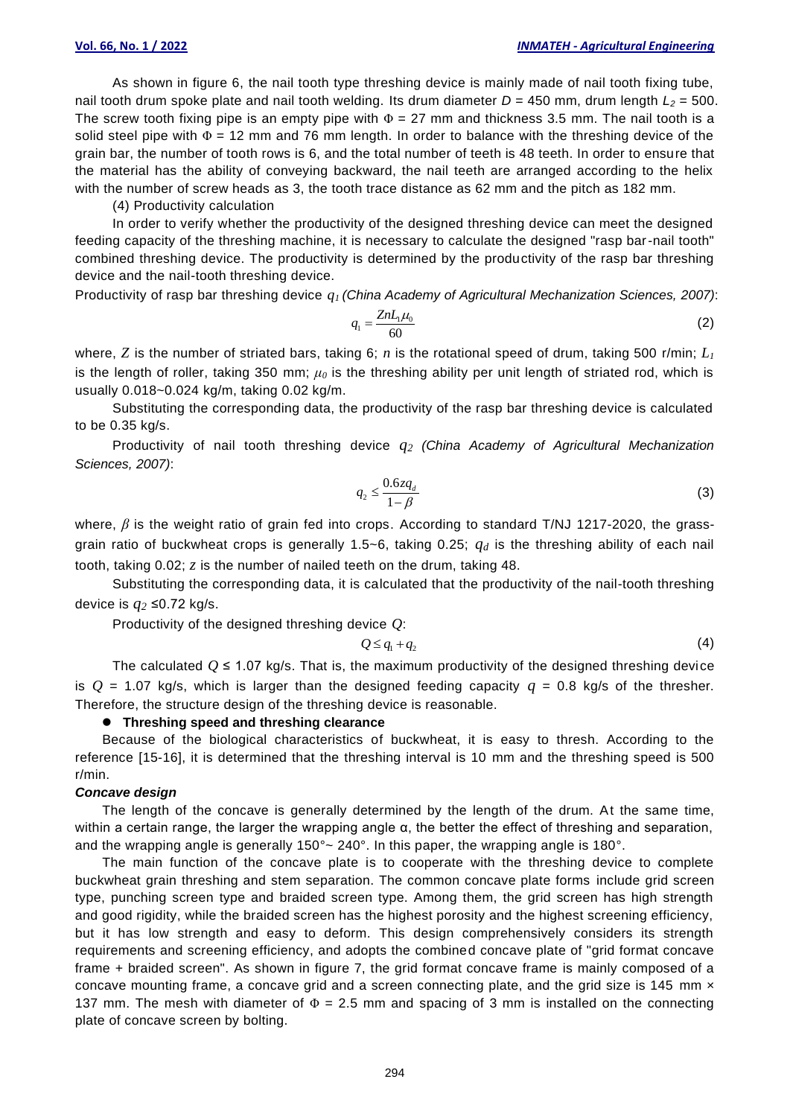As shown in figure 6, the nail tooth type threshing device is mainly made of nail tooth fixing tube, nail tooth drum spoke plate and nail tooth welding. Its drum diameter *D* = 450 mm, drum length *L<sup>2</sup>* = 500. The screw tooth fixing pipe is an empty pipe with  $\Phi = 27$  mm and thickness 3.5 mm. The nail tooth is a solid steel pipe with  $\Phi = 12$  mm and 76 mm length. In order to balance with the threshing device of the grain bar, the number of tooth rows is 6, and the total number of teeth is 48 teeth. In order to ensure that the material has the ability of conveying backward, the nail teeth are arranged according to the helix with the number of screw heads as 3, the tooth trace distance as 62 mm and the pitch as 182 mm.

(4) Productivity calculation

In order to verify whether the productivity of the designed threshing device can meet the designed feeding capacity of the threshing machine, it is necessary to calculate the designed "rasp bar-nail tooth" combined threshing device. The productivity is determined by the productivity of the rasp bar threshing device and the nail-tooth threshing device.

Productivity of rasp bar threshing device *q<sup>1</sup> (China Academy of Agricultural Mechanization Sciences, 2007)*:

$$
q_1 = \frac{Z n L_1 \mu_0}{60} \tag{2}
$$

where, *Z* is the number of striated bars, taking 6; *n* is the rotational speed of drum, taking 500 r/min; *L<sup>1</sup>* is the length of roller, taking 350 mm; *μ<sup>0</sup>* is the threshing ability per unit length of striated rod, which is usually 0.018~0.024 kg/m, taking 0.02 kg/m.

Substituting the corresponding data, the productivity of the rasp bar threshing device is calculated to be 0.35 kg/s.

Productivity of nail tooth threshing device *q<sup>2</sup> (China Academy of Agricultural Mechanization Sciences, 2007)*:

$$
q_2 \le \frac{0.6zq_d}{1-\beta} \tag{3}
$$

where, β is the weight ratio of grain fed into crops. According to standard T/NJ 1217-2020, the grassgrain ratio of buckwheat crops is generally 1.5~6, taking 0.25; *q<sup>d</sup>* is the threshing ability of each nail tooth, taking 0.02; *z* is the number of nailed teeth on the drum, taking 48.

Substituting the corresponding data, it is calculated that the productivity of the nail-tooth threshing device is *q<sup>2</sup>* ≤0.72 kg/s.

Productivity of the designed threshing device *Q*:

$$
Q \leq q_1 + q_2 \tag{4}
$$

The calculated  $Q \le 1.07$  kg/s. That is, the maximum productivity of the designed threshing device is  $Q = 1.07$  kg/s, which is larger than the designed feeding capacity  $q = 0.8$  kg/s of the thresher. Therefore, the structure design of the threshing device is reasonable.

### ⚫ **Threshing speed and threshing clearance**

Because of the biological characteristics of buckwheat, it is easy to thresh. According to the reference [15-16], it is determined that the threshing interval is 10 mm and the threshing speed is 500 r/min.

## *Concave design*

The length of the concave is generally determined by the length of the drum. At the same time, within a certain range, the larger the wrapping angle α, the better the effect of threshing and separation, and the wrapping angle is generally 150°~ 240°. In this paper, the wrapping angle is 180°.

The main function of the concave plate is to cooperate with the threshing device to complete buckwheat grain threshing and stem separation. The common concave plate forms include grid screen type, punching screen type and braided screen type. Among them, the grid screen has high strength and good rigidity, while the braided screen has the highest porosity and the highest screening efficiency, but it has low strength and easy to deform. This design comprehensively considers its strength requirements and screening efficiency, and adopts the combined concave plate of "grid format concave frame + braided screen". As shown in figure 7, the grid format concave frame is mainly composed of a concave mounting frame, a concave grid and a screen connecting plate, and the grid size is 145 mm  $\times$ 137 mm. The mesh with diameter of  $\Phi = 2.5$  mm and spacing of 3 mm is installed on the connecting plate of concave screen by bolting.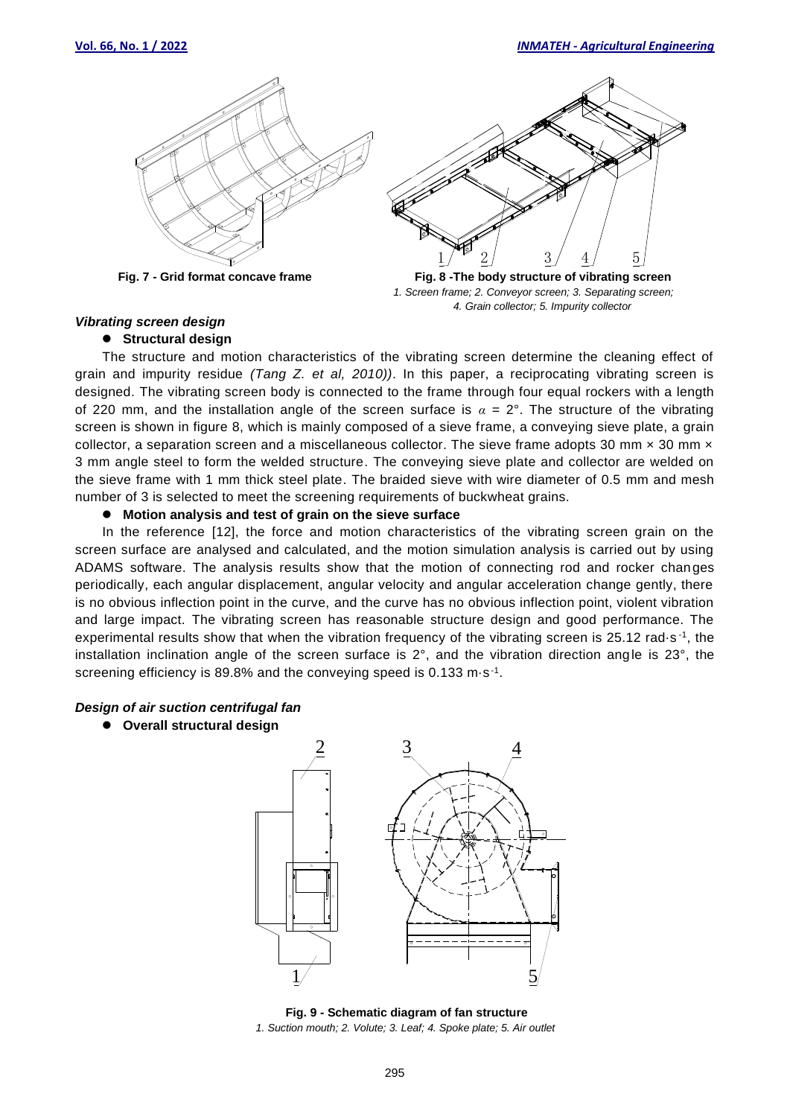



**Fig. 7 - Grid format concave frame Fig. 8 - The body structure of vibrating screen**  *1. Screen frame; 2. Conveyor screen; 3. Separating screen; 4. Grain collector; 5. Impurity collector*

## *Vibrating screen design*

# ⚫ **Structural design**

The structure and motion characteristics of the vibrating screen determine the cleaning effect of grain and impurity residue *(Tang Z. et al, 2010))*. In this paper, a reciprocating vibrating screen is designed. The vibrating screen body is connected to the frame through four equal rockers with a length of 220 mm, and the installation angle of the screen surface is  $\alpha = 2^{\circ}$ . The structure of the vibrating screen is shown in figure 8, which is mainly composed of a sieve frame, a conveying sieve plate, a grain collector, a separation screen and a miscellaneous collector. The sieve frame adopts 30 mm  $\times$  30 mm  $\times$ 3 mm angle steel to form the welded structure. The conveying sieve plate and collector are welded on the sieve frame with 1 mm thick steel plate. The braided sieve with wire diameter of 0.5 mm and mesh number of 3 is selected to meet the screening requirements of buckwheat grains.

# ⚫ **Motion analysis and test of grain on the sieve surface**

In the reference [12], the force and motion characteristics of the vibrating screen grain on the screen surface are analysed and calculated, and the motion simulation analysis is carried out by using ADAMS software. The analysis results show that the motion of connecting rod and rocker changes periodically, each angular displacement, angular velocity and angular acceleration change gently, there is no obvious inflection point in the curve, and the curve has no obvious inflection point, violent vibration and large impact. The vibrating screen has reasonable structure design and good performance. The experimental results show that when the vibration frequency of the vibrating screen is 25.12 rad·s<sup>-1</sup>, the installation inclination angle of the screen surface is 2°, and the vibration direction angle is 23°, the screening efficiency is 89.8% and the conveying speed is 0.133 m·s<sup>-1</sup>.

# *Design of air suction centrifugal fan*

⚫ **Overall structural design**



**Fig. 9 - Schematic diagram of fan structure** *1. Suction mouth; 2. Volute; 3. Leaf; 4. Spoke plate; 5. Air outlet*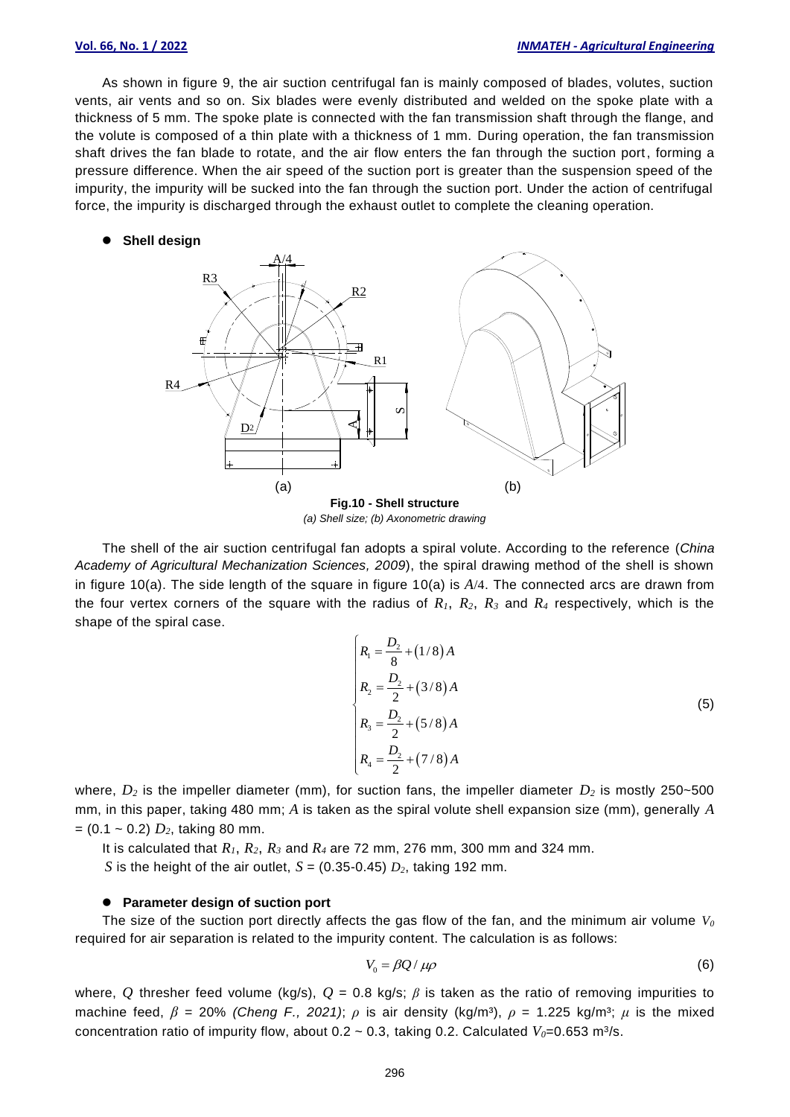As shown in figure 9, the air suction centrifugal fan is mainly composed of blades, volutes, suction vents, air vents and so on. Six blades were evenly distributed and welded on the spoke plate with a thickness of 5 mm. The spoke plate is connected with the fan transmission shaft through the flange, and the volute is composed of a thin plate with a thickness of 1 mm. During operation, the fan transmission shaft drives the fan blade to rotate, and the air flow enters the fan through the suction port, forming a pressure difference. When the air speed of the suction port is greater than the suspension speed of the impurity, the impurity will be sucked into the fan through the suction port. Under the action of centrifugal force, the impurity is discharged through the exhaust outlet to complete the cleaning operation.

### ⚫ **Shell design**



*(a) Shell size; (b) Axonometric drawing*

The shell of the air suction centrifugal fan adopts a spiral volute. According to the reference (*China Academy of Agricultural Mechanization Sciences, 2009*), the spiral drawing method of the shell is shown in figure 10(a). The side length of the square in figure 10(a) is *A*/4. The connected arcs are drawn from the four vertex corners of the square with the radius of *R1*, *R2*, *R<sup>3</sup>* and *R<sup>4</sup>* respectively, which is the shape of the spiral case.

$$
\begin{cases}\nR_1 = \frac{D_2}{8} + (1/8)A \\
R_2 = \frac{D_2}{2} + (3/8)A \\
R_3 = \frac{D_2}{2} + (5/8)A \\
R_4 = \frac{D_2}{2} + (7/8)A\n\end{cases}
$$
\n(5)

where,  $D_2$  is the impeller diameter (mm), for suction fans, the impeller diameter  $D_2$  is mostly 250~500 mm, in this paper, taking 480 mm; *A* is taken as the spiral volute shell expansion size (mm), generally *A*  $= (0.1 \sim 0.2) D_2$ , taking 80 mm.

It is calculated that *R1*, *R2*, *R<sup>3</sup>* and *R<sup>4</sup>* are 72 mm, 276 mm, 300 mm and 324 mm.

*S* is the height of the air outlet,  $S = (0.35 \cdot 0.45) D_2$ , taking 192 mm.

#### ⚫ **Parameter design of suction port**

The size of the suction port directly affects the gas flow of the fan, and the minimum air volume *V<sup>0</sup>* required for air separation is related to the impurity content. The calculation is as follows:

$$
V_0 = \beta Q / \mu \rho \tag{6}
$$

where, Q thresher feed volume (kg/s),  $Q = 0.8$  kg/s;  $\beta$  is taken as the ratio of removing impurities to machine feed,  $\beta$  = 20% *(Cheng F., 2021)*;  $\rho$  is air density (kg/m<sup>3</sup>),  $\rho$  = 1.225 kg/m<sup>3</sup>;  $\mu$  is the mixed concentration ratio of impurity flow, about  $0.2 \sim 0.3$ , taking 0.2. Calculated  $V_0$ =0.653 m<sup>3</sup>/s.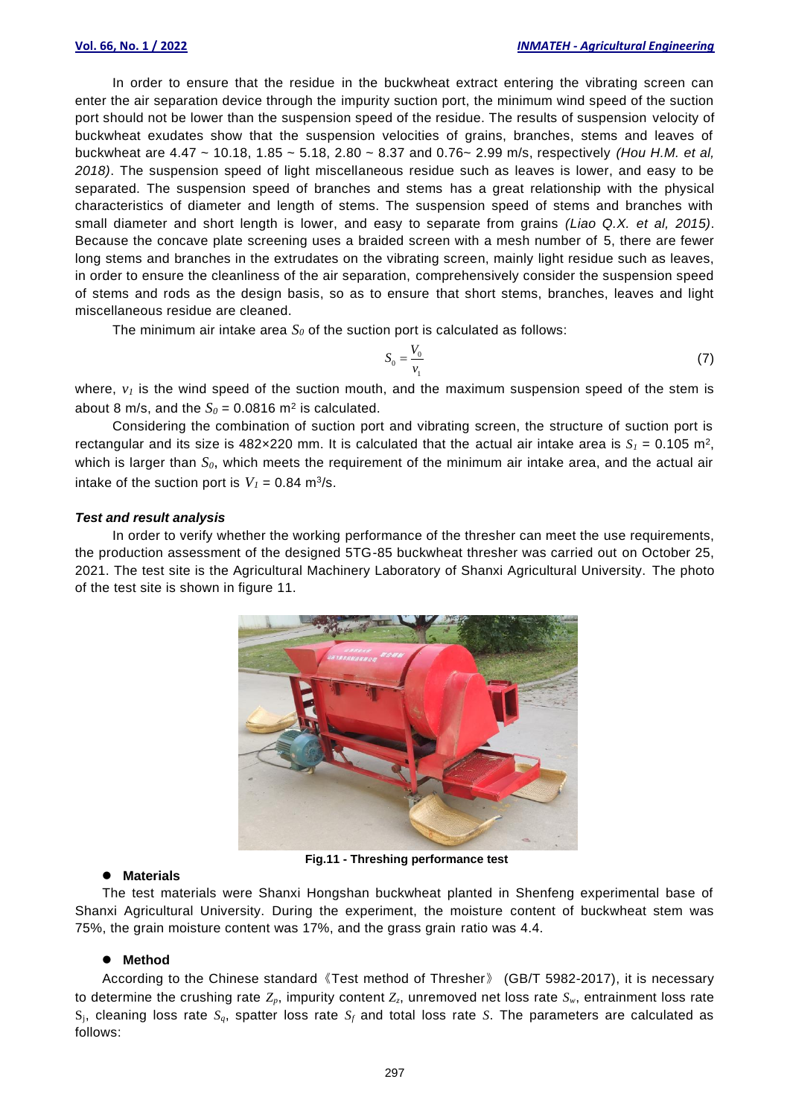In order to ensure that the residue in the buckwheat extract entering the vibrating screen can enter the air separation device through the impurity suction port, the minimum wind speed of the suction port should not be lower than the suspension speed of the residue. The results of suspension velocity of buckwheat exudates show that the suspension velocities of grains, branches, stems and leaves of buckwheat are 4.47 ~ 10.18, 1.85 ~ 5.18, 2.80 ~ 8.37 and 0.76~ 2.99 m/s, respectively *(Hou H.M. et al, 2018)*. The suspension speed of light miscellaneous residue such as leaves is lower, and easy to be separated. The suspension speed of branches and stems has a great relationship with the physical characteristics of diameter and length of stems. The suspension speed of stems and branches with small diameter and short length is lower, and easy to separate from grains *(Liao Q.X. et al, 2015)*. Because the concave plate screening uses a braided screen with a mesh number of 5, there are fewer long stems and branches in the extrudates on the vibrating screen, mainly light residue such as leaves, in order to ensure the cleanliness of the air separation, comprehensively consider the suspension speed of stems and rods as the design basis, so as to ensure that short stems, branches, leaves and light miscellaneous residue are cleaned.

The minimum air intake area  $S_0$  of the suction port is calculated as follows:

$$
S_0 = \frac{V_0}{v_1} \tag{7}
$$

where,  $v_I$  is the wind speed of the suction mouth, and the maximum suspension speed of the stem is about 8 m/s, and the  $S_0 = 0.0816$  m<sup>2</sup> is calculated.

Considering the combination of suction port and vibrating screen, the structure of suction port is rectangular and its size is 482×220 mm. It is calculated that the actual air intake area is  $S_I = 0.105$  m<sup>2</sup>, which is larger than  $S_0$ , which meets the requirement of the minimum air intake area, and the actual air intake of the suction port is  $V_1 = 0.84$  m<sup>3</sup>/s.

## *Test and result analysis*

In order to verify whether the working performance of the thresher can meet the use requirements, the production assessment of the designed 5TG-85 buckwheat thresher was carried out on October 25, 2021. The test site is the Agricultural Machinery Laboratory of Shanxi Agricultural University. The photo of the test site is shown in figure 11.



**Fig.11 - Threshing performance test**

### ⚫ **Materials**

The test materials were Shanxi Hongshan buckwheat planted in Shenfeng experimental base of Shanxi Agricultural University. During the experiment, the moisture content of buckwheat stem was 75%, the grain moisture content was 17%, and the grass grain ratio was 4.4.

### ⚫ **Method**

According to the Chinese standard《Test method of Thresher》 (GB/T 5982-2017), it is necessary to determine the crushing rate  $Z_p$ , impurity content  $Z_z$ , unremoved net loss rate  $S_w$ , entrainment loss rate Sj, cleaning loss rate *Sq*, spatter loss rate *S<sup>f</sup>* and total loss rate *S*. The parameters are calculated as follows: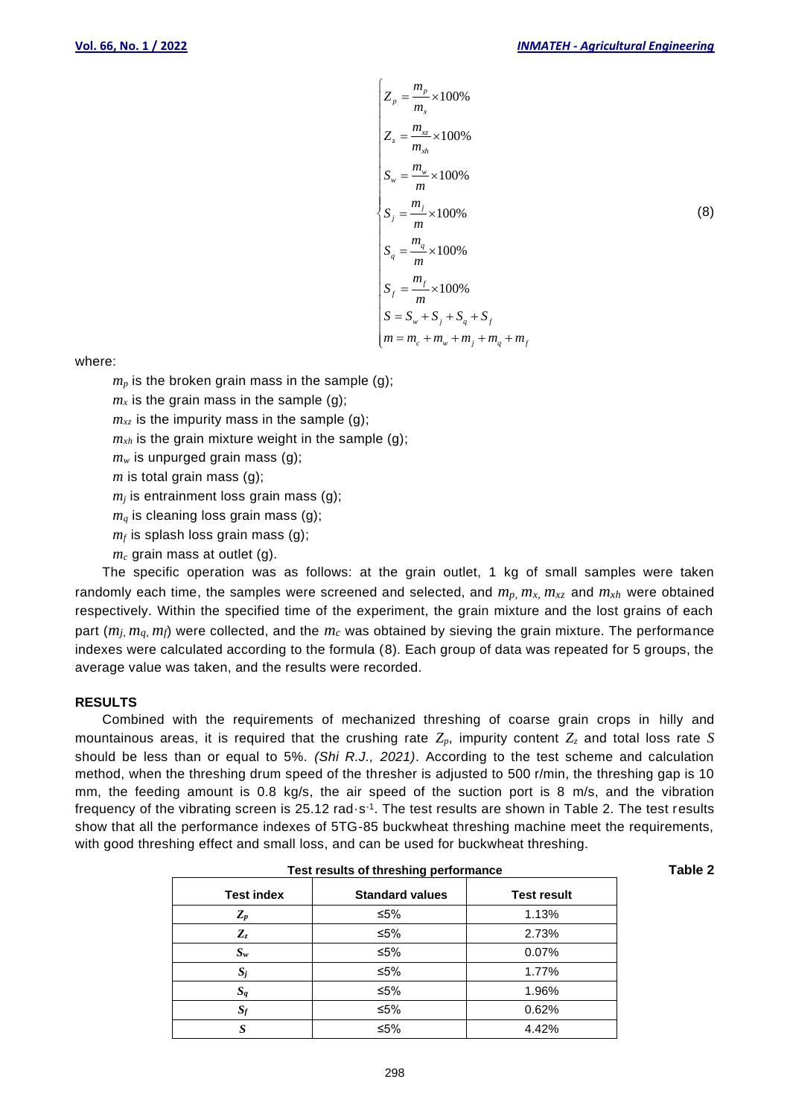$$
Z_{p} = \frac{m_{p}}{m_{x}} \times 100\%
$$
  
\n
$$
Z_{z} = \frac{m_{xz}}{m_{xh}} \times 100\%
$$
  
\n
$$
S_{w} = \frac{m_{w}}{m} \times 100\%
$$
  
\n
$$
S_{j} = \frac{m_{j}}{m} \times 100\%
$$
  
\n
$$
S_{q} = \frac{m_{q}}{m} \times 100\%
$$
  
\n
$$
S_{f} = \frac{m_{f}}{m} \times 100\%
$$
  
\n
$$
S_{f} = \frac{m_{f}}{m} \times 100\%
$$
  
\n
$$
S = S_{w} + S_{j} + S_{q} + S_{f}
$$
  
\n
$$
m = m_{c} + m_{w} + m_{j} + m_{q} + m_{f}
$$

where:

 $m_p$  is the broken grain mass in the sample (g);

 $m<sub>x</sub>$  is the grain mass in the sample (g);

 $m_{xz}$  is the impurity mass in the sample (g);

 $m_{xh}$  is the grain mixture weight in the sample (g);

 $m_w$  is unpurged grain mass (g);

*m* is total grain mass (g);

 $m<sub>i</sub>$  is entrainment loss grain mass (g);

 $m_q$  is cleaning loss grain mass (g);

 $m_f$  is splash loss grain mass (g);

*m<sup>c</sup>* grain mass at outlet (g).

The specific operation was as follows: at the grain outlet, 1 kg of small samples were taken randomly each time, the samples were screened and selected, and  $m_p$ ,  $m_x$ ,  $m_{xz}$  and  $m_{xh}$  were obtained respectively. Within the specified time of the experiment, the grain mixture and the lost grains of each part  $(m_i, m_q, m_f)$  were collected, and the  $m_c$  was obtained by sieving the grain mixture. The performance indexes were calculated according to the formula (8). Each group of data was repeated for 5 groups, the average value was taken, and the results were recorded.

# **RESULTS**

Combined with the requirements of mechanized threshing of coarse grain crops in hilly and mountainous areas, it is required that the crushing rate *Zp*, impurity content *Z<sup>z</sup>* and total loss rate *S* should be less than or equal to 5%. *(Shi R.J., 2021)*. According to the test scheme and calculation method, when the threshing drum speed of the thresher is adjusted to 500 r/min, the threshing gap is 10 mm, the feeding amount is 0.8 kg/s, the air speed of the suction port is 8 m/s, and the vibration frequency of the vibrating screen is 25.12 rad $\cdot$ s<sup>-1</sup>. The test results are shown in Table 2. The test results show that all the performance indexes of 5TG-85 buckwheat threshing machine meet the requirements, with good threshing effect and small loss, and can be used for buckwheat threshing.

| Test results of threshing performance |                        |                    | Table 2 |
|---------------------------------------|------------------------|--------------------|---------|
| <b>Test index</b>                     | <b>Standard values</b> | <b>Test result</b> |         |
| $Z_p$                                 | ≤5%                    | 1.13%              |         |
| $Z_z$                                 | ≤5%                    | 2.73%              |         |
| $S_w$                                 | ≤5%                    | 0.07%              |         |
| $S_j$                                 | ≤5%                    | 1.77%              |         |
| $S_q$                                 | ≤5%                    | 1.96%              |         |
| $S_f$                                 | ≤5%                    | 0.62%              |         |
|                                       | ≤5%                    | 4.42%              |         |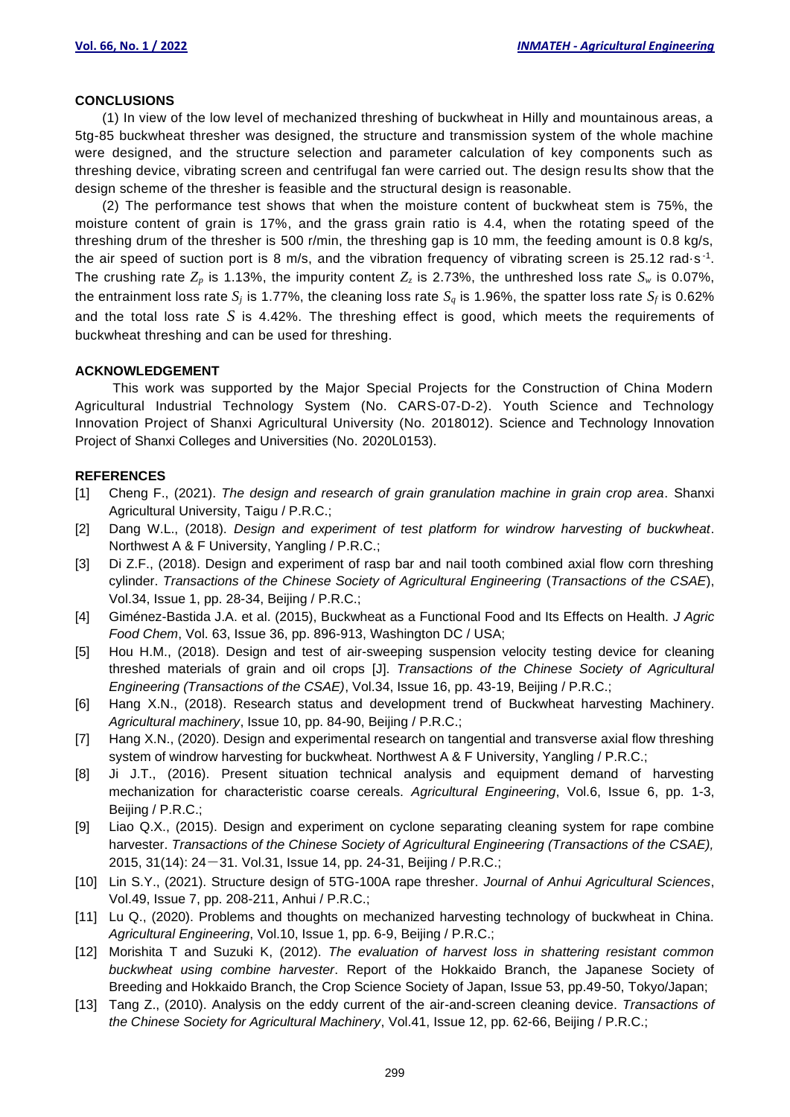## **CONCLUSIONS**

(1) In view of the low level of mechanized threshing of buckwheat in Hilly and mountainous areas, a 5tg-85 buckwheat thresher was designed, the structure and transmission system of the whole machine were designed, and the structure selection and parameter calculation of key components such as threshing device, vibrating screen and centrifugal fan were carried out. The design resu lts show that the design scheme of the thresher is feasible and the structural design is reasonable.

(2) The performance test shows that when the moisture content of buckwheat stem is 75%, the moisture content of grain is 17%, and the grass grain ratio is 4.4, when the rotating speed of the threshing drum of the thresher is 500 r/min, the threshing gap is 10 mm, the feeding amount is 0.8 kg/s, the air speed of suction port is 8 m/s, and the vibration frequency of vibrating screen is 25.12 rad·s<sup>-1</sup>. The crushing rate  $Z_p$  is 1.13%, the impurity content  $Z_z$  is 2.73%, the unthreshed loss rate  $S_w$  is 0.07%, the entrainment loss rate  $S_j$  is 1.77%, the cleaning loss rate  $S_q$  is 1.96%, the spatter loss rate  $S_f$  is 0.62% and the total loss rate *S* is 4.42%. The threshing effect is good, which meets the requirements of buckwheat threshing and can be used for threshing.

# **ACKNOWLEDGEMENT**

This work was supported by the Major Special Projects for the Construction of China Modern Agricultural Industrial Technology System (No. CARS-07-D-2). Youth Science and Technology Innovation Project of Shanxi Agricultural University (No. 2018012). Science and Technology Innovation Project of Shanxi Colleges and Universities (No. 2020L0153).

### **REFERENCES**

- [1] Cheng F., (2021). *The design and research of grain granulation machine in grain crop area*. Shanxi Agricultural University, Taigu / P.R.C.;
- [2] Dang W.L., (2018). *Design and experiment of test platform for windrow harvesting of buckwheat*. Northwest A & F University, Yangling / P.R.C.;
- [3] Di Z.F., (2018). Design and experiment of rasp bar and nail tooth combined axial flow corn threshing cylinder. *Transactions of the Chinese Society of Agricultural Engineering* (*Transactions of the CSAE*), Vol.34, Issue 1, pp. 28-34, Beijing / P.R.C.;
- [4] Giménez-Bastida J.A. et al. (2015), Buckwheat as a Functional Food and Its Effects on Health. *J Agric Food Chem*, Vol. 63, Issue 36, pp. 896-913, Washington DC / USA;
- [5] Hou H.M., (2018). Design and test of air-sweeping suspension velocity testing device for cleaning threshed materials of grain and oil crops [J]. *Transactions of the Chinese Society of Agricultural Engineering (Transactions of the CSAE)*, Vol.34, Issue 16, pp. 43-19, Beijing / P.R.C.;
- [6] Hang X.N., (2018). Research status and development trend of Buckwheat harvesting Machinery. *Agricultural machinery*, Issue 10, pp. 84-90, Beijing / P.R.C.;
- [7] Hang X.N., (2020). Design and experimental research on tangential and transverse axial flow threshing system of windrow harvesting for buckwheat. Northwest A & F University, Yangling / P.R.C.;
- [8] Ji J.T., (2016). Present situation technical analysis and equipment demand of harvesting mechanization for characteristic coarse cereals. *Agricultural Engineering*, Vol.6, Issue 6, pp. 1-3, Beijing / P.R.C.;
- [9] Liao Q.X., (2015). Design and experiment on cyclone separating cleaning system for rape combine harvester. *Transactions of the Chinese Society of Agricultural Engineering (Transactions of the CSAE),* 2015, 31(14): 24-31. Vol.31, Issue 14, pp. 24-31, Beijing / P.R.C.;
- [10] Lin S.Y., (2021). Structure design of 5TG-100A rape thresher. *Journal of Anhui Agricultural Sciences*, Vol.49, Issue 7, pp. 208-211, Anhui / P.R.C.;
- [11] Lu Q., (2020). Problems and thoughts on mechanized harvesting technology of buckwheat in China. *Agricultural Engineering*, Vol.10, Issue 1, pp. 6-9, Beijing / P.R.C.;
- [12] Morishita T and Suzuki K, (2012). *The evaluation of harvest loss in shattering resistant common buckwheat using combine harvester*. Report of the Hokkaido Branch, the Japanese Society of Breeding and Hokkaido Branch, the Crop Science Society of Japan, Issue 53, pp.49-50, Tokyo/Japan;
- [13] Tang Z., (2010). Analysis on the eddy current of the air-and-screen cleaning device. *Transactions of the Chinese Society for Agricultural Machinery*, Vol.41, Issue 12, pp. 62-66, Beijing / P.R.C.;